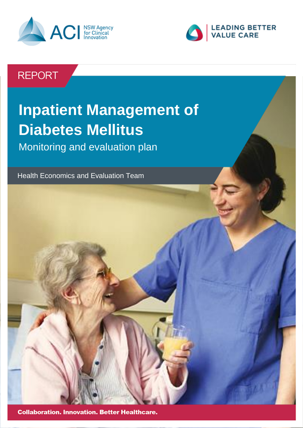



# **REPORT**

# **Inpatient Management of Diabetes Mellitus**  Monitoring and evaluation plan

Health Economics and Evaluation Team



**Collaboration. Innovation. Better Healthcare.**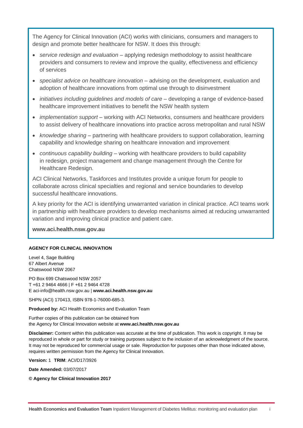The Agency for Clinical Innovation (ACI) works with clinicians, consumers and managers to design and promote better healthcare for NSW. It does this through:

- *service redesign and evaluation* applying redesign methodology to assist healthcare providers and consumers to review and improve the quality, effectiveness and efficiency of services
- *specialist advice on healthcare innovation* advising on the development, evaluation and adoption of healthcare innovations from optimal use through to disinvestment
- *initiatives including guidelines and models of care* developing a range of evidence-based healthcare improvement initiatives to benefit the NSW health system
- *implementation support* working with ACI Networks, consumers and healthcare providers to assist delivery of healthcare innovations into practice across metropolitan and rural NSW
- *knowledge sharing* partnering with healthcare providers to support collaboration, learning capability and knowledge sharing on healthcare innovation and improvement
- *continuous capability building* working with healthcare providers to build capability in redesign, project management and change management through the Centre for Healthcare Redesign.

ACI Clinical Networks, Taskforces and Institutes provide a unique forum for people to collaborate across clinical specialties and regional and service boundaries to develop successful healthcare innovations.

A key priority for the ACI is identifying unwarranted variation in clinical practice. ACI teams work in partnership with healthcare providers to develop mechanisms aimed at reducing unwarranted variation and improving clinical practice and patient care.

**[www.aci.health.nsw.gov.au](http://www.aci.health.nsw.gov.au/)**

#### **AGENCY FOR CLINICAL INNOVATION**

Level 4, Sage Building 67 Albert Avenue Chatswood NSW 2067

PO Box 699 Chatswood NSW 2057 T +61 2 9464 4666 | F +61 2 9464 4728 E aci-info@health.nsw.gov.au | **www.aci.health.nsw.gov.au**

SHPN (ACI) 170413, ISBN 978-1-76000-685-3.

**Produced by:** ACI Health Economics and Evaluation Team

Further copies of this publication can be obtained from the Agency for Clinical Innovation website at **[www.aci.health.nsw.gov.au](file:///C:/Users/accounts/AppData/Roaming/Microsoft/Word/www.aci.health.nsw.gov.au)**

**Disclaimer:** Content within this publication was accurate at the time of publication. This work is copyright. It may be reproduced in whole or part for study or training purposes subject to the inclusion of an acknowledgment of the source. It may not be reproduced for commercial usage or sale. Reproduction for purposes other than those indicated above, requires written permission from the Agency for Clinical Innovation.

**Version:** 1 **TRIM**: ACI/D17/3926

**Date Amended:** 03/07/2017

**© Agency for Clinical Innovation 2017**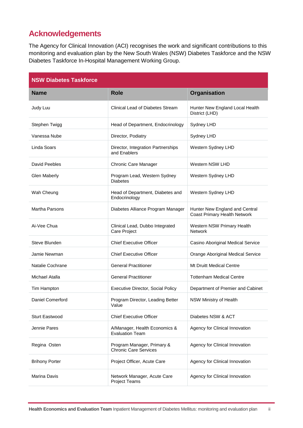### <span id="page-2-0"></span>**Acknowledgements**

The Agency for Clinical Innovation (ACI) recognises the work and significant contributions to this monitoring and evaluation plan by the New South Wales (NSW) Diabetes Taskforce and the NSW Diabetes Taskforce In-Hospital Management Working Group.

| <b>NSW Diabetes Taskforce</b> |                                                            |                                                                       |
|-------------------------------|------------------------------------------------------------|-----------------------------------------------------------------------|
| <b>Name</b>                   | <b>Role</b>                                                | Organisation                                                          |
| Judy Luu                      | <b>Clinical Lead of Diabetes Stream</b>                    | Hunter New England Local Health<br>District (LHD)                     |
| Stephen Twigg                 | Head of Department, Endocrinology                          | Sydney LHD                                                            |
| Vanessa Nube                  | Director, Podiatry                                         | Sydney LHD                                                            |
| Linda Soars                   | Director, Integration Partnerships<br>and Enablers         | Western Sydney LHD                                                    |
| David Peebles                 | Chronic Care Manager                                       | Western NSW LHD                                                       |
| <b>Glen Maberly</b>           | Program Lead, Western Sydney<br><b>Diabetes</b>            | Western Sydney LHD                                                    |
| Wah Cheung                    | Head of Department, Diabetes and<br>Endocrinology          | Western Sydney LHD                                                    |
| Martha Parsons                | Diabetes Alliance Program Manager                          | Hunter New England and Central<br><b>Coast Primary Health Network</b> |
| Ai-Vee Chua                   | Clinical Lead, Dubbo Integrated<br>Care Project            | Western NSW Primary Health<br><b>Network</b>                          |
| Steve Blunden                 | <b>Chief Executive Officer</b>                             | Casino Aboriginal Medical Service                                     |
| Jamie Newman                  | <b>Chief Executive Officer</b>                             | Orange Aboriginal Medical Service                                     |
| Natalie Cochrane              | <b>General Practitioner</b>                                | <b>Mt Druitt Medical Centre</b>                                       |
| Michael Atalla                | <b>General Practitioner</b>                                | <b>Tottenham Medical Centre</b>                                       |
| Tim Hampton                   | <b>Executive Director, Social Policy</b>                   | Department of Premier and Cabinet                                     |
| Daniel Comerford              | Program Director, Leading Better<br>Value                  | NSW Ministry of Health                                                |
| <b>Sturt Eastwood</b>         | <b>Chief Executive Officer</b>                             | Diabetes NSW & ACT                                                    |
| Jennie Pares                  | A/Manager, Health Economics &<br><b>Evaluation Team</b>    | Agency for Clinical Innovation                                        |
| Regina Osten                  | Program Manager, Primary &<br><b>Chronic Care Services</b> | Agency for Clinical Innovation                                        |
| <b>Brihony Porter</b>         | Project Officer, Acute Care                                | Agency for Clinical Innovation                                        |
| Marina Davis                  | Network Manager, Acute Care<br><b>Project Teams</b>        | Agency for Clinical Innovation                                        |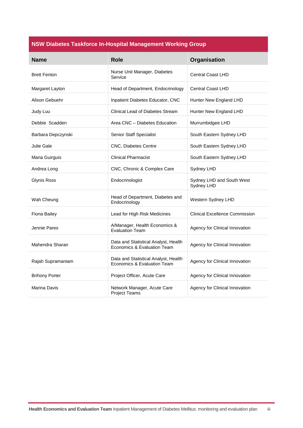#### **NSW Diabetes Taskforce In-Hospital Management Working Group**

| <b>Name</b>           | <b>Role</b>                                                         | Organisation                            |
|-----------------------|---------------------------------------------------------------------|-----------------------------------------|
| <b>Brett Fenton</b>   | Nurse Unit Manager, Diabetes<br>Service                             | <b>Central Coast LHD</b>                |
| Margaret Layton       | Head of Department, Endocrinology                                   | <b>Central Coast LHD</b>                |
| Alison Gebuehr        | Inpatient Diabetes Educator, CNC                                    | Hunter New England LHD                  |
| Judy Luu              | Clinical Lead of Diabetes Stream                                    | Hunter New England LHD                  |
| Debbie Scadden        | Area CNC - Diabetes Education                                       | Murrumbidgee LHD                        |
| Barbara Depczynski    | <b>Senior Staff Specialist</b>                                      | South Eastern Sydney LHD                |
| Julie Gale            | CNC, Diabetes Centre                                                | South Eastern Sydney LHD                |
| Maria Guirguis        | <b>Clinical Pharmacist</b>                                          | South Eastern Sydney LHD                |
| Andrea Long           | CNC, Chronic & Complex Care                                         | Sydney LHD                              |
| <b>Glynis Ross</b>    | Endocrinologist                                                     | Sydney LHD and South West<br>Sydney LHD |
| Wah Cheung            | Head of Department, Diabetes and<br>Endocrinology                   | Western Sydney LHD                      |
| <b>Fiona Bailey</b>   | Lead for High Risk Medicines                                        | <b>Clinical Excellence Commission</b>   |
| Jennie Pares          | A/Manager, Health Economics &<br><b>Evaluation Team</b>             | Agency for Clinical Innovation          |
| Mahendra Sharan       | Data and Statistical Analyst, Health<br>Economics & Evaluation Team | Agency for Clinical Innovation          |
| Rajah Supramaniam     | Data and Statistical Analyst, Health<br>Economics & Evaluation Team | Agency for Clinical Innovation          |
| <b>Brihony Porter</b> | Project Officer, Acute Care                                         | Agency for Clinical Innovation          |
| Marina Davis          | Network Manager, Acute Care<br><b>Project Teams</b>                 | Agency for Clinical Innovation          |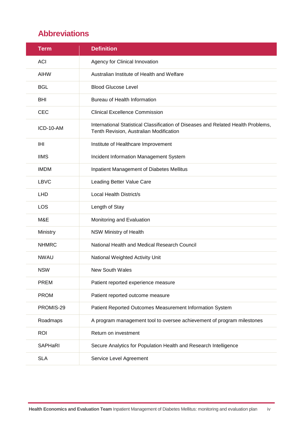# <span id="page-4-0"></span>**Abbreviations**

| <b>Term</b>  | <b>Definition</b>                                                                                                            |
|--------------|------------------------------------------------------------------------------------------------------------------------------|
| <b>ACI</b>   | Agency for Clinical Innovation                                                                                               |
| <b>AIHW</b>  | Australian Institute of Health and Welfare                                                                                   |
| <b>BGL</b>   | <b>Blood Glucose Level</b>                                                                                                   |
| <b>BHI</b>   | Bureau of Health Information                                                                                                 |
| <b>CEC</b>   | <b>Clinical Excellence Commission</b>                                                                                        |
| ICD-10-AM    | International Statistical Classification of Diseases and Related Health Problems,<br>Tenth Revision, Australian Modification |
| IHI          | Institute of Healthcare Improvement                                                                                          |
| <b>IIMS</b>  | Incident Information Management System                                                                                       |
| <b>IMDM</b>  | Inpatient Management of Diabetes Mellitus                                                                                    |
| <b>LBVC</b>  | Leading Better Value Care                                                                                                    |
| <b>LHD</b>   | Local Health District/s                                                                                                      |
| <b>LOS</b>   | Length of Stay                                                                                                               |
| M&E          | Monitoring and Evaluation                                                                                                    |
| Ministry     | NSW Ministry of Health                                                                                                       |
| <b>NHMRC</b> | National Health and Medical Research Council                                                                                 |
| <b>NWAU</b>  | National Weighted Activity Unit                                                                                              |
| <b>NSW</b>   | New South Wales                                                                                                              |
| <b>PREM</b>  | Patient reported experience measure                                                                                          |
| <b>PROM</b>  | Patient reported outcome measure                                                                                             |
| PROMIS-29    | Patient Reported Outcomes Measurement Information System                                                                     |
| Roadmaps     | A program management tool to oversee achievement of program milestones                                                       |
| <b>ROI</b>   | Return on investment                                                                                                         |
| SAPHaRI      | Secure Analytics for Population Health and Research Intelligence                                                             |
| <b>SLA</b>   | Service Level Agreement                                                                                                      |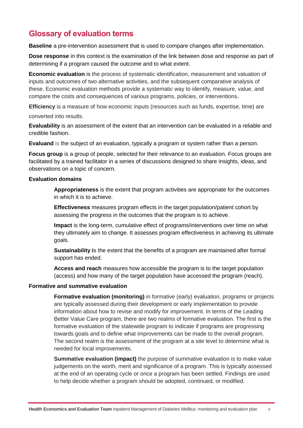# <span id="page-5-0"></span>**Glossary of evaluation terms**

**Baseline** a pre-intervention assessment that is used to compare changes after implementation.

**Dose response** in this context is the examination of the link between dose and response as part of determining if a program caused the outcome and to what extent.

**Economic evaluation** is the process of systematic identification, measurement and valuation of inputs and outcomes of two alternative activities, and the subsequent comparative analysis of these. Economic evaluation methods provide a systematic way to identify, measure, value, and compare the costs and consequences of various programs, policies, or interventions.

**Efficiency** is a measure of how economic inputs (resources such as funds, expertise, time) are

converted into results.

**Evaluability** is an assessment of the extent that an intervention can be evaluated in a reliable and credible fashion.

**Evaluand** is the subject of an evaluation, typically a program or system rather than a person.

**Focus group** is a group of people, selected for their relevance to an evaluation. Focus groups are facilitated by a trained facilitator in a series of discussions designed to share insights, ideas, and observations on a topic of concern.

#### **Evaluation domains**

**Appropriateness** is the extent that program activities are appropriate for the outcomes in which it is to achieve.

**Effectiveness** measures program effects in the target population/patient cohort by assessing the progress in the outcomes that the program is to achieve.

**Impact** is the long-term, cumulative effect of programs/interventions over time on what they ultimately aim to change. It assesses program effectiveness in achieving its ultimate goals.

**Sustainability i**s the extent that the benefits of a program are maintained after formal support has ended.

**Access and reach** measures how accessible the program is to the target population (access) and how many of the target population have accessed the program (reach).

#### **Formative and summative evaluation**

**Formative evaluation (monitoring)** in formative (early) evaluation, programs or projects are typically assessed during their development or early implementation to provide information about how to revise and modify for improvement. In terms of the Leading Better Value Care program, there are two realms of formative evaluation. The first is the formative evaluation of the statewide program to indicate if programs are progressing towards goals and to define what improvements can be made to the overall program. The second realm is the assessment of the program at a site level to determine what is needed for local improvements.

**Summative evaluation (impact)** the purpose of summative evaluation is to make value judgements on the worth, merit and significance of a program. This is typically assessed at the end of an operating cycle or once a program has been settled. Findings are used to help decide whether a program should be adopted, continued, or modified.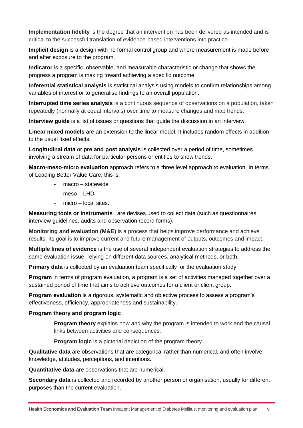**Implementation fidelity** is the degree that an intervention has been delivered as intended and is critical to the successful translation of evidence-based interventions into practice.

**Implicit design** is a design with no formal control group and where measurement is made before and after exposure to the program.

**Indicator** is a specific, observable, and measurable characteristic or change that shows the progress a program is making toward achieving a specific outcome.

**Inferential statistical analysis** is statistical analysis using models to confirm relationships among variables of interest or to generalise findings to an overall population.

**Interrupted time series analysis** is a continuous sequence of observations on a population, taken repeatedly (normally at equal intervals) over time to measure changes and map trends.

**Interview guide** is a list of issues or questions that guide the discussion in an interview.

**Linear mixed models** are an extension to the linear model. It includes random effects in addition to the usual fixed effects.

**Longitudinal data** or **pre and post analysis** is collected over a period of time, sometimes involving a stream of data for particular persons or entities to show trends.

**Macro-meso-micro evaluation** approach refers to a three level approach to evaluation. In terms of Leading Better Value Care, this is:

- macro statewide
- $meso LHD$
- $micro local sites.$

**Measuring tools or instruments** are devises used to collect data (such as questionnaires, interview guidelines, audits and observation record forms).

**Monitoring and evaluation (M&E)** is a process that helps improve performance and achieve results. Its goal is to improve current and future management of outputs, outcomes and impact.

**Multiple lines of evidence** is the use of several independent evaluation strategies to address the same evaluation issue, relying on different data sources, analytical methods, or both.

**Primary data** is collected by an evaluation team specifically for the evaluation study.

**Program** in terms of program evaluation, a program is a set of activities managed together over a sustained period of time that aims to achieve outcomes for a client or client group.

**Program evaluation** is a rigorous, systematic and objective process to assess a program's effectiveness, efficiency, appropriateness and sustainability.

#### **Program theory and program logic**

**Program theory** explains how and why the program is intended to work and the causal links between activities and consequences.

**Program logic** is a pictorial depiction of the program theory.

**Qualitative data** are observations that are categorical rather than numerical, and often involve knowledge, attitudes, perceptions, and intentions.

**Quantitative data** are observations that are numerical.

**Secondary data** is collected and recorded by another person or organisation, usually for different purposes than the current evaluation.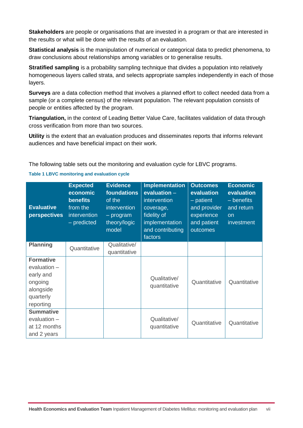**Stakeholders** are people or organisations that are invested in a program or that are interested in the results or what will be done with the results of an evaluation.

**Statistical analysis** is the manipulation of numerical or categorical data to predict phenomena, to draw conclusions about relationships among variables or to generalise results.

**Stratified sampling** is a probability sampling technique that divides a population into relatively homogeneous layers called strata, and selects appropriate samples independently in each of those layers.

**Surveys** are a data collection method that involves a planned effort to collect needed data from a sample (or a complete census) of the relevant population. The relevant population consists of people or entities affected by the program.

**Triangulation,** in the context of Leading Better Value Care, facilitates validation of data through cross verification from more than two sources.

**Utility** is the extent that an evaluation produces and disseminates reports that informs relevant audiences and have beneficial impact on their work.

The following table sets out the monitoring and evaluation cycle for LBVC programs.

| <b>Evaluative</b><br>perspectives                                                               | <b>Expected</b><br>economic<br><b>benefits</b><br>from the<br>intervention<br>- predicted | <b>Evidence</b><br>foundations<br>of the<br>intervention<br>$-$ program<br>theory/logic<br>model | <b>Implementation</b><br>evaluation $-$<br>intervention<br>coverage,<br>fidelity of<br>implementation<br>and contributing<br>factors | <b>Outcomes</b><br>evaluation<br>$-$ patient<br>and provider<br>experience<br>and patient<br>outcomes | <b>Economic</b><br>evaluation<br>- benefits<br>and return<br>on<br>investment |
|-------------------------------------------------------------------------------------------------|-------------------------------------------------------------------------------------------|--------------------------------------------------------------------------------------------------|--------------------------------------------------------------------------------------------------------------------------------------|-------------------------------------------------------------------------------------------------------|-------------------------------------------------------------------------------|
| <b>Planning</b>                                                                                 | Quantitative                                                                              | Qualitative/<br>quantitative                                                                     |                                                                                                                                      |                                                                                                       |                                                                               |
| <b>Formative</b><br>evaluation -<br>early and<br>ongoing<br>alongside<br>quarterly<br>reporting |                                                                                           |                                                                                                  | Qualitative/<br>quantitative                                                                                                         | Quantitative                                                                                          | Quantitative                                                                  |
| <b>Summative</b><br>evaluation -<br>at 12 months<br>and 2 years                                 |                                                                                           |                                                                                                  | Qualitative/<br>quantitative                                                                                                         | Quantitative                                                                                          | Quantitative                                                                  |

#### <span id="page-7-0"></span>**Table 1 LBVC monitoring and evaluation cycle**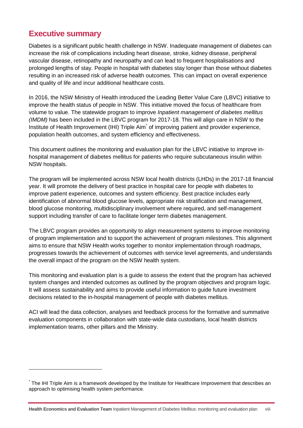### <span id="page-8-0"></span>**Executive summary**

-

Diabetes is a significant public health challenge in NSW. Inadequate management of diabetes can increase the risk of complications including heart disease, stroke, kidney disease, peripheral vascular disease, retinopathy and neuropathy and can lead to frequent hospitalisations and prolonged lengths of stay. People in hospital with diabetes stay longer than those without diabetes resulting in an increased risk of adverse health outcomes. This can impact on overall experience and quality of life and incur additional healthcare costs.

In 2016, the NSW Ministry of Health introduced the Leading Better Value Care (LBVC) initiative to improve the health status of people in NSW. This initiative moved the focus of healthcare from volume to value. The statewide program to improve *Inpatient management of diabetes mellitus (IMDM)* has been included in the LBVC program for 2017-18. This will align care in NSW to the Institute of Health Improvement (IHI) Triple Aim<sup>\*</sup> of improving patient and provider experience, population health outcomes, and system efficiency and effectiveness.

This document outlines the monitoring and evaluation plan for the LBVC initiative to improve inhospital management of diabetes mellitus for patients who require subcutaneous insulin within NSW hospitals.

The program will be implemented across NSW local health districts (LHDs) in the 2017-18 financial year. It will promote the delivery of best practice in hospital care for people with diabetes to improve patient experience, outcomes and system efficiency. Best practice includes early identification of abnormal blood glucose levels, appropriate risk stratification and management, blood glucose monitoring, multidisciplinary involvement where required, and self-management support including transfer of care to facilitate longer term diabetes management.

The LBVC program provides an opportunity to align measurement systems to improve monitoring of program implementation and to support the achievement of program milestones. This alignment aims to ensure that NSW Health works together to monitor implementation through roadmaps, progresses towards the achievement of outcomes with service level agreements, and understands the overall impact of the program on the NSW health system.

This monitoring and evaluation plan is a guide to assess the extent that the program has achieved system changes and intended outcomes as outlined by the program objectives and program logic. It will assess sustainability and aims to provide useful information to guide future investment decisions related to the in-hospital management of people with diabetes mellitus.

ACI will lead the data collection, analyses and feedback process for the formative and summative evaluation components in collaboration with state-wide data custodians, local health districts implementation teams, other pillars and the Ministry.

<sup>\*</sup> The IHI Triple Aim is a framework developed by the Institute for Healthcare Improvement that describes an approach to optimising health system performance.

**Health Economics and Evaluation Team** Inpatient Management of Diabetes Mellitus: monitoring and evaluation plan viii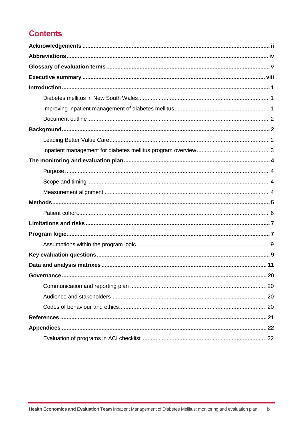# **Contents**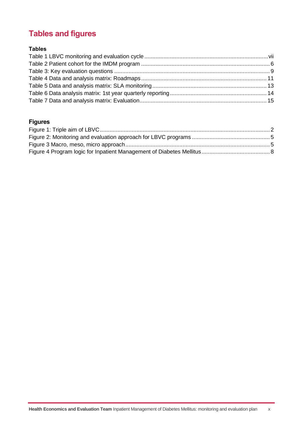# **Tables and figures**

### **Tables**

### **Figures**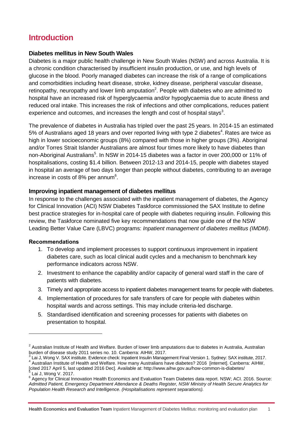### <span id="page-11-0"></span>**Introduction**

#### <span id="page-11-1"></span>**Diabetes mellitus in New South Wales**

Diabetes is a major public health challenge in New South Wales (NSW) and across Australia. It is a chronic condition characterised by insufficient insulin production, or use, and high levels of glucose in the blood. Poorly managed diabetes can increase the risk of a range of complications and comorbidities including heart disease, stroke, kidney disease, peripheral vascular disease, retinopathy, neuropathy and lower limb amputation<sup>2</sup>. People with diabetes who are admitted to hospital have an increased risk of hyperglycaemia and/or hypoglycaemia due to acute illness and reduced oral intake. This increases the risk of infections and other complications, reduces patient experience and outcomes, and increases the length and cost of hospital stays<sup>3</sup>.

The prevalence of diabetes in Australia has tripled over the past 25 years. In 2014-15 an estimated 5% of Australians aged 18 years and over reported living with type 2 diabetes<sup>4</sup>. Rates are twice as high in lower socioeconomic groups (8%) compared with those in higher groups (3%). Aboriginal and/or Torres Strait Islander Australians are almost four times more likely to have diabetes than non-Aboriginal Australians<sup>5</sup>. In NSW in 2014-15 diabetes was a factor in over 200,000 or 11% of hospitalisations, costing \$1.4 billion. Between 2012-13 and 2014-15, people with diabetes stayed in hospital an average of two days longer than people without diabetes, contributing to an average increase in costs of 8% per annum $6$ .

#### <span id="page-11-2"></span>**Improving inpatient management of diabetes mellitus**

In response to the challenges associated with the inpatient management of diabetes, the Agency for Clinical Innovation (ACI) NSW Diabetes Taskforce commissioned the SAX Institute to define best practice strategies for in-hospital care of people with diabetes requiring insulin. Following this review, the Taskforce nominated five key recommendations that now guide one of the NSW Leading Better Value Care (LBVC) programs: *Inpatient management of diabetes mellitus (IMDM)*.

#### **Recommendations**

-

- 1. To develop and implement processes to support continuous improvement in inpatient diabetes care, such as local clinical audit cycles and a mechanism to benchmark key performance indicators across NSW.
- 2. Investment to enhance the capability and/or capacity of general ward staff in the care of patients with diabetes.
- 3. Timely and appropriate access to inpatient diabetes management teams for people with diabetes.
- 4. Implementation of procedures for safe transfers of care for people with diabetes within hospital wards and across settings. This may include criteria-led discharge.
- 5. Standardised identification and screening processes for patients with diabetes on presentation to hospital.

**Health Economics and Evaluation Team** Inpatient Management of Diabetes Mellitus: monitoring and evaluation plan 1

 $2$  Australian Institute of Health and Welfare. Burden of lower limb amputations due to diabetes in Australia, Australian burden of disease study 2011 series no. 10. Canberra: AIHW, 2017.

<sup>3</sup> Lai J, Wong V. SAX institute. Evidence check: Inpatient Insulin Management Final Version 1. Sydney: SAX institute, 2017. 4 Australian Institute of Health and Welfare. How many Australians have diabetes? 2016 [internet]. Canberra: AIHW,

<sup>[</sup>cited 2017 April 5, last updated 2016 Dec]. Available at: http://www.aihw.gov.au/how-common-is-diabetes/<br>5 Lei L Wong V, 2017 Lai J, Wong V. 2017.

<sup>&</sup>lt;sup>6</sup> Agency for Clinical Innovation Health Economics and Evaluation Team Diabetes data report. NSW; ACI. 2016. Source: *Admitted Patient, Emergency Department Attendance & Deaths Register, NSW Ministry of Health Secure Analytics for Population Health Research and Intelligence. (Hospitalisations represent separations).*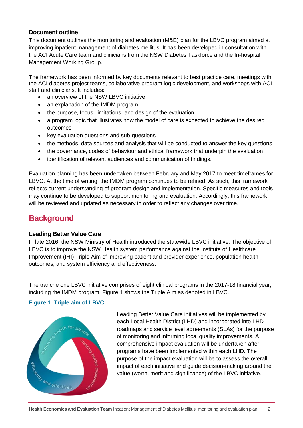#### <span id="page-12-3"></span><span id="page-12-0"></span>**Document outline**

This document outlines the monitoring and evaluation (M&E) plan for the LBVC program aimed at improving inpatient management of diabetes mellitus. It has been developed in consultation with the ACI Acute Care team and clinicians from the NSW Diabetes Taskforce and the In-hospital Management Working Group.

The framework has been informed by key documents relevant to best practice care, meetings with the ACI diabetes project teams, collaborative program logic development, and workshops with ACI staff and clinicians. It includes:

- an overview of the NSW LBVC initiative
- an explanation of the IMDM program
- the purpose, focus, limitations, and design of the evaluation
- a program logic that illustrates how the model of care is expected to achieve the desired outcomes
- key evaluation questions and sub-questions
- the methods, data sources and analysis that will be conducted to answer the key questions
- the governance, codes of behaviour and ethical framework that underpin the evaluation
- identification of relevant audiences and communication of findings.

Evaluation planning has been undertaken between February and May 2017 to meet timeframes for LBVC. At the time of writing, the IMDM program continues to be refined. As such, this framework reflects current understanding of program design and implementation. Specific measures and tools may continue to be developed to support monitoring and evaluation. Accordingly, this framework will be reviewed and updated as necessary in order to reflect any changes over time.

### <span id="page-12-1"></span>**Background**

#### <span id="page-12-2"></span>**Leading Better Value Care**

In late 2016, the NSW Ministry of Health introduced the statewide LBVC initiative. The objective of LBVC is to improve the NSW Health system performance against the Institute of Healthcare Improvement (IHI) Triple Aim of improving patient and provider experience, population health outcomes, and system efficiency and effectiveness.

The tranche one LBVC initiative comprises of eight clinical programs in the 2017-18 financial year, including the IMDM program. Figure 1 shows the Triple Aim as denoted in LBVC.

#### **Figure 1: Triple aim of LBVC**



Leading Better Value Care initiatives will be implemented by each Local Health District (LHD) and incorporated into LHD roadmaps and service level agreements (SLAs) for the purpose of monitoring and informing local quality improvements. A comprehensive impact evaluation will be undertaken after programs have been implemented within each LHD. The purpose of the impact evaluation will be to assess the overall impact of each initiative and guide decision-making around the value (worth, merit and significance) of the LBVC initiative.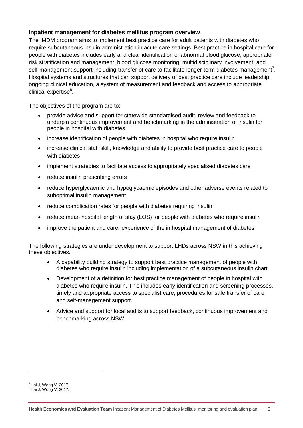#### <span id="page-13-0"></span>**Inpatient management for diabetes mellitus program overview**

The IMDM program aims to implement best practice care for adult patients with diabetes who require subcutaneous insulin administration in acute care settings. Best practice in hospital care for people with diabetes includes early and clear identification of abnormal blood glucose, appropriate risk stratification and management, blood glucose monitoring, multidisciplinary involvement, and self-management support including transfer of care to facilitate longer-term diabetes management<sup>7</sup>. Hospital systems and structures that can support delivery of best practice care include leadership, ongoing clinical education, a system of measurement and feedback and access to appropriate clinical expertise<sup>8</sup>.

The objectives of the program are to:

- provide advice and support for statewide standardised audit, review and feedback to underpin continuous improvement and benchmarking in the administration of insulin for people in hospital with diabetes
- increase identification of people with diabetes in hospital who require insulin
- increase clinical staff skill, knowledge and ability to provide best practice care to people with diabetes
- implement strategies to facilitate access to appropriately specialised diabetes care
- reduce insulin prescribing errors
- reduce hyperglycaemic and hypoglycaemic episodes and other adverse events related to suboptimal insulin management
- reduce complication rates for people with diabetes requiring insulin
- reduce mean hospital length of stay (LOS) for people with diabetes who require insulin
- improve the patient and carer experience of the in hospital management of diabetes.

The following strategies are under development to support LHDs across NSW in this achieving these objectives.

- A capability building strategy to support best practice management of people with diabetes who require insulin including implementation of a subcutaneous insulin chart.
- Development of a definition for best practice management of people in hospital with diabetes who require insulin. This includes early identification and screening processes, timely and appropriate access to specialist care, procedures for safe transfer of care and self-management support.
- Advice and support for local audits to support feedback, continuous improvement and benchmarking across NSW.

-

 $<sup>7</sup>$  Lai J, Wong V. 2017.</sup>

<sup>8</sup> Lai J, Wong V. 2017.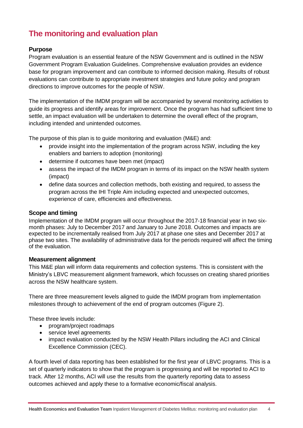# <span id="page-14-0"></span>**The monitoring and evaluation plan**

#### <span id="page-14-1"></span>**Purpose**

Program evaluation is an essential feature of the NSW Government and is outlined in the NSW Government Program Evaluation Guidelines. Comprehensive evaluation provides an evidence base for program improvement and can contribute to informed decision making. Results of robust evaluations can contribute to appropriate investment strategies and future policy and program directions to improve outcomes for the people of NSW.

The implementation of the IMDM program will be accompanied by several monitoring activities to guide its progress and identify areas for improvement. Once the program has had sufficient time to settle, an impact evaluation will be undertaken to determine the overall effect of the program, including intended and unintended outcomes.

The purpose of this plan is to guide monitoring and evaluation (M&E) and:

- provide insight into the implementation of the program across NSW, including the key enablers and barriers to adoption (monitoring)
- determine if outcomes have been met (impact)
- assess the impact of the IMDM program in terms of its impact on the NSW health system (impact)
- define data sources and collection methods, both existing and required, to assess the program across the IHI Triple Aim including expected and unexpected outcomes, experience of care, efficiencies and effectiveness.

#### <span id="page-14-2"></span>**Scope and timing**

Implementation of the IMDM program will occur throughout the 2017-18 financial year in two sixmonth phases: July to December 2017 and January to June 2018. Outcomes and impacts are expected to be incrementally realised from July 2017 at phase one sites and December 2017 at phase two sites. The availability of administrative data for the periods required will affect the timing of the evaluation.

#### <span id="page-14-3"></span>**Measurement alignment**

This M&E plan will inform data requirements and collection systems. This is consistent with the Ministry's LBVC measurement alignment framework, which focusses on creating shared priorities across the NSW healthcare system.

There are three measurement levels aligned to guide the IMDM program from implementation milestones through to achievement of the end of program outcomes (Figure 2).

These three levels include:

- program/project roadmaps
- service level agreements
- impact evaluation conducted by the NSW Health Pillars including the ACI and Clinical Excellence Commission (CEC).

A fourth level of data reporting has been established for the first year of LBVC programs. This is a set of quarterly indicators to show that the program is progressing and will be reported to ACI to track. After 12 months, ACI will use the results from the quarterly reporting data to assess outcomes achieved and apply these to a formative economic/fiscal analysis.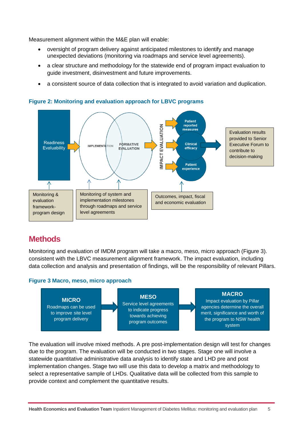Measurement alignment within the M&E plan will enable:

- oversight of program delivery against anticipated milestones to identify and manage unexpected deviations (monitoring via roadmaps and service level agreements).
- a clear structure and methodology for the statewide end of program impact evaluation to guide investment, disinvestment and future improvements.
- a consistent source of data collection that is integrated to avoid variation and duplication.



<span id="page-15-1"></span>**Figure 2: Monitoring and evaluation approach for LBVC programs**

### <span id="page-15-0"></span>**Methods**

Monitoring and evaluation of IMDM program will take a macro, meso, micro approach (Figure 3). consistent with the LBVC measurement alignment framework. The impact evaluation, including data collection and analysis and presentation of findings, will be the responsibility of relevant Pillars.

#### <span id="page-15-2"></span>**Figure 3 Macro, meso, micro approach**



The evaluation will involve mixed methods. A pre post-implementation design will test for changes due to the program. The evaluation will be conducted in two stages. Stage one will involve a statewide quantitative administrative data analysis to identify state and LHD pre and post implementation changes. Stage two will use this data to develop a matrix and methodology to select a representative sample of LHDs. Qualitative data will be collected from this sample to provide context and complement the quantitative results.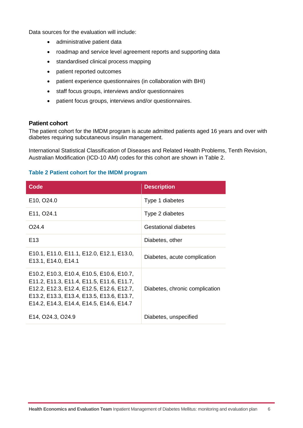Data sources for the evaluation will include:

- administrative patient data
- roadmap and service level agreement reports and supporting data
- standardised clinical process mapping
- patient reported outcomes
- patient experience questionnaires (in collaboration with BHI)
- staff focus groups, interviews and/or questionnaires
- patient focus groups, interviews and/or questionnaires.

#### <span id="page-16-0"></span>**Patient cohort**

The patient cohort for the IMDM program is acute admitted patients aged 16 years and over with diabetes requiring subcutaneous insulin management.

International Statistical Classification of Diseases and Related Health Problems, Tenth Revision, Australian Modification (ICD-10 AM) codes for this cohort are shown in Table 2.

#### <span id="page-16-1"></span>**Table 2 Patient cohort for the IMDM program**

| Code                                                                                                                                                                                                                         | <b>Description</b>             |
|------------------------------------------------------------------------------------------------------------------------------------------------------------------------------------------------------------------------------|--------------------------------|
| E10, O24.0                                                                                                                                                                                                                   | Type 1 diabetes                |
| E11, O24.1                                                                                                                                                                                                                   | Type 2 diabetes                |
| O <sub>24.4</sub>                                                                                                                                                                                                            | Gestational diabetes           |
| E <sub>13</sub>                                                                                                                                                                                                              | Diabetes, other                |
| E10.1, E11.0, E11.1, E12.0, E12.1, E13.0,<br>E13.1, E14.0, E14.1                                                                                                                                                             | Diabetes, acute complication   |
| E10.2, E10.3, E10.4, E10.5, E10.6, E10.7,<br>E11.2, E11.3, E11.4, E11.5, E11.6, E11.7,<br>E12.2, E12.3, E12.4, E12.5, E12.6, E12.7,<br>E13.2, E13.3, E13.4, E13.5, E13.6, E13.7,<br>E14.2, E14.3, E14.4, E14.5, E14.6, E14.7 | Diabetes, chronic complication |
| E14, O24.3, O24.9                                                                                                                                                                                                            | Diabetes, unspecified          |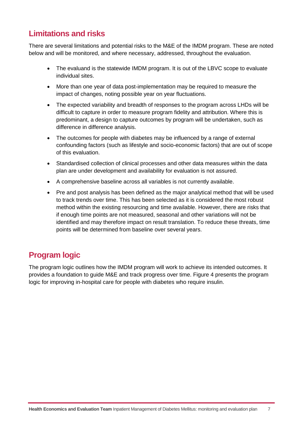## <span id="page-17-0"></span>**Limitations and risks**

There are several limitations and potential risks to the M&E of the IMDM program. These are noted below and will be monitored, and where necessary, addressed, throughout the evaluation.

- The evaluand is the statewide IMDM program. It is out of the LBVC scope to evaluate individual sites.
- More than one year of data post-implementation may be required to measure the impact of changes, noting possible year on year fluctuations.
- The expected variability and breadth of responses to the program across LHDs will be difficult to capture in order to measure program fidelity and attribution. Where this is predominant, a design to capture outcomes by program will be undertaken, such as difference in difference analysis.
- The outcomes for people with diabetes may be influenced by a range of external confounding factors (such as lifestyle and socio-economic factors) that are out of scope of this evaluation.
- Standardised collection of clinical processes and other data measures within the data plan are under development and availability for evaluation is not assured.
- A comprehensive baseline across all variables is not currently available.
- Pre and post analysis has been defined as the major analytical method that will be used to track trends over time. This has been selected as it is considered the most robust method within the existing resourcing and time available. However, there are risks that if enough time points are not measured, seasonal and other variations will not be identified and may therefore impact on result translation. To reduce these threats, time points will be determined from baseline over several years.

# <span id="page-17-1"></span>**Program logic**

The program logic outlines how the IMDM program will work to achieve its intended outcomes. It provides a foundation to guide M&E and track progress over time. Figure 4 presents the program logic for improving in-hospital care for people with diabetes who require insulin.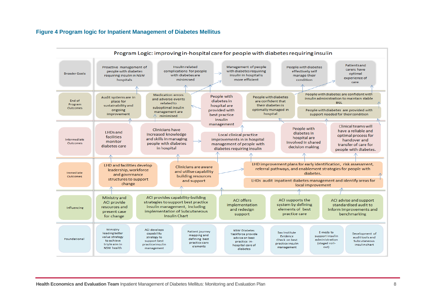#### **Figure 4 Program logic for Inpatient Management of Diabetes Mellitus**

<span id="page-18-0"></span>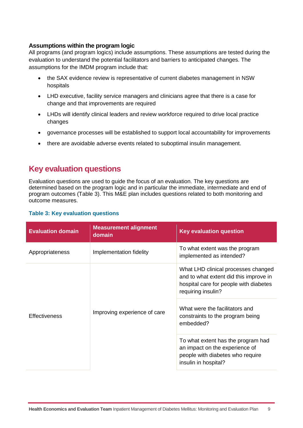#### <span id="page-19-0"></span>**Assumptions within the program logic**

All programs (and program logics) include assumptions. These assumptions are tested during the evaluation to understand the potential facilitators and barriers to anticipated changes. The assumptions for the IMDM program include that:

- the SAX evidence review is representative of current diabetes management in NSW hospitals
- LHD executive, facility service managers and clinicians agree that there is a case for change and that improvements are required
- LHDs will identify clinical leaders and review workforce required to drive local practice changes
- governance processes will be established to support local accountability for improvements
- there are avoidable adverse events related to suboptimal insulin management.

### <span id="page-19-1"></span>**Key evaluation questions**

Evaluation questions are used to guide the focus of an evaluation. The key questions are determined based on the program logic and in particular the immediate, intermediate and end of program outcomes (Table 3). This M&E plan includes questions related to both monitoring and outcome measures.

#### <span id="page-19-2"></span>**Table 3: Key evaluation questions**

| <b>Evaluation domain</b> | <b>Measurement alignment</b><br>domain | <b>Key evaluation question</b>                                                                                                                                                                                      |  |
|--------------------------|----------------------------------------|---------------------------------------------------------------------------------------------------------------------------------------------------------------------------------------------------------------------|--|
| Appropriateness          | Implementation fidelity                | To what extent was the program<br>implemented as intended?                                                                                                                                                          |  |
| <b>Effectiveness</b>     | Improving experience of care           | What LHD clinical processes changed<br>and to what extent did this improve in<br>hospital care for people with diabetes<br>requiring insulin?<br>What were the facilitators and<br>constraints to the program being |  |
|                          |                                        | embedded?                                                                                                                                                                                                           |  |
|                          |                                        | To what extent has the program had<br>an impact on the experience of<br>people with diabetes who require<br>insulin in hospital?                                                                                    |  |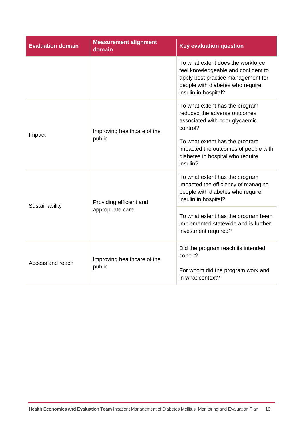| <b>Evaluation domain</b> | <b>Measurement alignment</b><br>domain | <b>Key evaluation question</b>                                                                                                                                             |  |
|--------------------------|----------------------------------------|----------------------------------------------------------------------------------------------------------------------------------------------------------------------------|--|
|                          |                                        | To what extent does the workforce<br>feel knowledgeable and confident to<br>apply best practice management for<br>people with diabetes who require<br>insulin in hospital? |  |
| Impact                   | Improving healthcare of the            | To what extent has the program<br>reduced the adverse outcomes<br>associated with poor glycaemic<br>control?                                                               |  |
|                          | public                                 | To what extent has the program<br>impacted the outcomes of people with<br>diabetes in hospital who require<br>insulin?                                                     |  |
|                          | Providing efficient and                | To what extent has the program<br>impacted the efficiency of managing<br>people with diabetes who require<br>insulin in hospital?                                          |  |
| Sustainability           | appropriate care                       | To what extent has the program been<br>implemented statewide and is further<br>investment required?                                                                        |  |
| Access and reach         | Improving healthcare of the            | Did the program reach its intended<br>cohort?                                                                                                                              |  |
|                          | public                                 | For whom did the program work and<br>in what context?                                                                                                                      |  |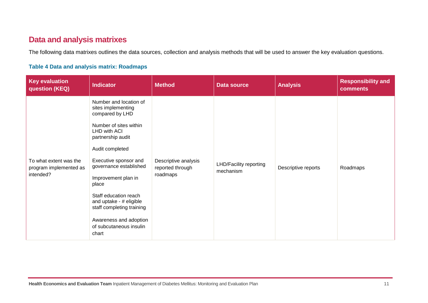### **Data and analysis matrixes**

The following data matrixes outlines the data sources, collection and analysis methods that will be used to answer the key evaluation questions.

#### **Table 4 Data and analysis matrix: Roadmaps**

<span id="page-21-1"></span><span id="page-21-0"></span>

| <b>Key evaluation</b><br>question (KEQ)                       | <b>Indicator</b>                                                                                                                                                                                                                                                                                                                                                                    | <b>Method</b>                                        | <b>Data source</b>                         | <b>Analysis</b>     | <b>Responsibility and</b><br>comments |
|---------------------------------------------------------------|-------------------------------------------------------------------------------------------------------------------------------------------------------------------------------------------------------------------------------------------------------------------------------------------------------------------------------------------------------------------------------------|------------------------------------------------------|--------------------------------------------|---------------------|---------------------------------------|
| To what extent was the<br>program implemented as<br>intended? | Number and location of<br>sites implementing<br>compared by LHD<br>Number of sites within<br>LHD with ACI<br>partnership audit<br>Audit completed<br>Executive sponsor and<br>governance established<br>Improvement plan in<br>place<br>Staff education reach<br>and uptake - # eligible<br>staff completing training<br>Awareness and adoption<br>of subcutaneous insulin<br>chart | Descriptive analysis<br>reported through<br>roadmaps | <b>LHD/Facility reporting</b><br>mechanism | Descriptive reports | Roadmaps                              |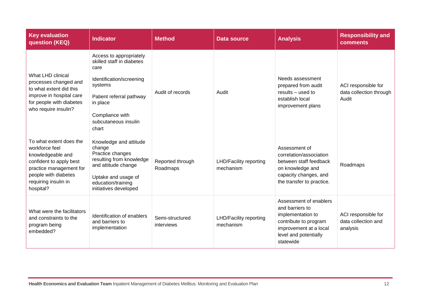| <b>Key evaluation</b><br>question (KEQ)                                                                                                                                           | <b>Indicator</b>                                                                                                                                                                                | <b>Method</b>                 | <b>Data source</b>                         | <b>Analysis</b>                                                                                                                                         | <b>Responsibility and</b><br>comments                   |
|-----------------------------------------------------------------------------------------------------------------------------------------------------------------------------------|-------------------------------------------------------------------------------------------------------------------------------------------------------------------------------------------------|-------------------------------|--------------------------------------------|---------------------------------------------------------------------------------------------------------------------------------------------------------|---------------------------------------------------------|
| What LHD clinical<br>processes changed and<br>to what extent did this<br>improve in hospital care<br>for people with diabetes<br>who require insulin?                             | Access to appropriately<br>skilled staff in diabetes<br>care<br>Identification/screening<br>systems<br>Patient referral pathway<br>in place<br>Compliance with<br>subcutaneous insulin<br>chart | Audit of records              | Audit                                      | Needs assessment<br>prepared from audit<br>results - used to<br>establish local<br>improvement plans                                                    | ACI responsible for<br>data collection through<br>Audit |
| To what extent does the<br>workforce feel<br>knowledgeable and<br>confident to apply best<br>practice management for<br>people with diabetes<br>requiring insulin in<br>hospital? | Knowledge and attitude<br>change<br>Practice changes<br>resulting from knowledge<br>and attitude change<br>Uptake and usage of<br>education/training<br>initiatives developed                   | Reported through<br>Roadmaps  | <b>LHD/Facility reporting</b><br>mechanism | Assessment of<br>correlation/association<br>between staff feedback<br>on knowledge and<br>capacity changes, and<br>the transfer to practice.            | Roadmaps                                                |
| What were the facilitators<br>and constraints to the<br>program being<br>embedded?                                                                                                | Identification of enablers<br>and barriers to<br>implementation                                                                                                                                 | Semi-structured<br>interviews | <b>LHD/Facility reporting</b><br>mechanism | Assessment of enablers<br>and barriers to<br>implementation to<br>contribute to program<br>improvement at a local<br>level and potentially<br>statewide | ACI responsible for<br>data collection and<br>analysis  |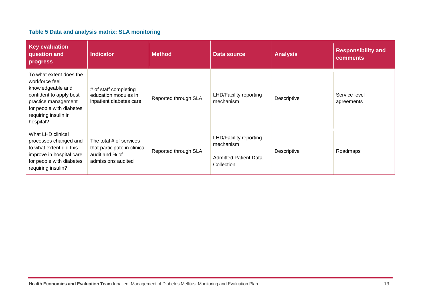#### **Table 5 Data and analysis matrix: SLA monitoring**

<span id="page-23-0"></span>

| <b>Key evaluation</b><br>question and<br>progress                                                                                                                                 | <b>Indicator</b>                                                                                | <b>Method</b>        | Data source                                                                              | <b>Analysis</b> | <b>Responsibility and</b><br><b>comments</b> |
|-----------------------------------------------------------------------------------------------------------------------------------------------------------------------------------|-------------------------------------------------------------------------------------------------|----------------------|------------------------------------------------------------------------------------------|-----------------|----------------------------------------------|
| To what extent does the<br>workforce feel<br>knowledgeable and<br>confident to apply best<br>practice management<br>for people with diabetes<br>requiring insulin in<br>hospital? | # of staff completing<br>education modules in<br>inpatient diabetes care                        | Reported through SLA | <b>LHD/Facility reporting</b><br>mechanism                                               | Descriptive     | Service level<br>agreements                  |
| What LHD clinical<br>processes changed and<br>to what extent did this<br>improve in hospital care<br>for people with diabetes<br>requiring insulin?                               | The total # of services<br>that participate in clinical<br>audit and % of<br>admissions audited | Reported through SLA | <b>LHD/Facility reporting</b><br>mechanism<br><b>Admitted Patient Data</b><br>Collection | Descriptive     | Roadmaps                                     |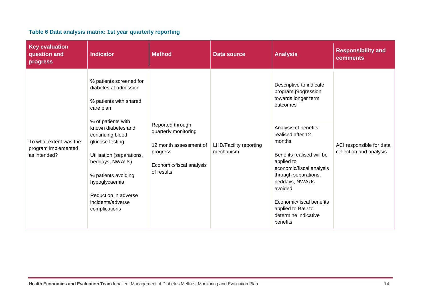| Table 6 Data analysis matrix: 1st year quarterly reporting |  |
|------------------------------------------------------------|--|
|------------------------------------------------------------|--|

<span id="page-24-0"></span>

| <b>Key evaluation</b><br>question and<br>progress             | <b>Indicator</b>                                                                                                                                                                                                                                                                                                                 | <b>Method</b>                                                                                                            | <b>Data source</b>                         | <b>Analysis</b>                                                                                                                                                                                                                                                                                                                                            | <b>Responsibility and</b><br>comments               |
|---------------------------------------------------------------|----------------------------------------------------------------------------------------------------------------------------------------------------------------------------------------------------------------------------------------------------------------------------------------------------------------------------------|--------------------------------------------------------------------------------------------------------------------------|--------------------------------------------|------------------------------------------------------------------------------------------------------------------------------------------------------------------------------------------------------------------------------------------------------------------------------------------------------------------------------------------------------------|-----------------------------------------------------|
| To what extent was the<br>program implemented<br>as intended? | % patients screened for<br>diabetes at admission<br>% patients with shared<br>care plan<br>% of patients with<br>known diabetes and<br>continuing blood<br>glucose testing<br>Utilisation (separations,<br>beddays, NWAUs)<br>% patients avoiding<br>hypoglycaemia<br>Reduction in adverse<br>incidents/adverse<br>complications | Reported through<br>quarterly monitoring<br>12 month assessment of<br>progress<br>Economic/fiscal analysis<br>of results | <b>LHD/Facility reporting</b><br>mechanism | Descriptive to indicate<br>program progression<br>towards longer term<br>outcomes<br>Analysis of benefits<br>realised after 12<br>months.<br>Benefits realised will be<br>applied to<br>economic/fiscal analysis<br>through separations,<br>beddays, NWAUs<br>avoided<br>Economic/fiscal benefits<br>applied to BaU to<br>determine indicative<br>benefits | ACI responsible for data<br>collection and analysis |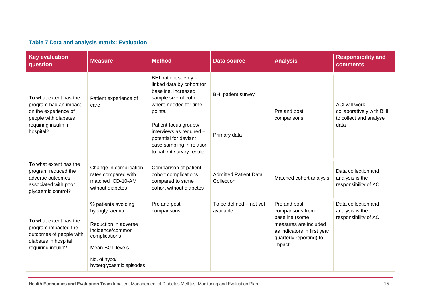### **Table 7 Data and analysis matrix: Evaluation**

<span id="page-25-0"></span>

| <b>Key evaluation</b><br>question                                                                                                    | <b>Measure</b>                                                                                                                                                  | <b>Method</b>                                                                                                                                                                                                                                                                 | <b>Data source</b>                         | <b>Analysis</b>                                                                                                                                 | <b>Responsibility and</b><br>comments                                              |
|--------------------------------------------------------------------------------------------------------------------------------------|-----------------------------------------------------------------------------------------------------------------------------------------------------------------|-------------------------------------------------------------------------------------------------------------------------------------------------------------------------------------------------------------------------------------------------------------------------------|--------------------------------------------|-------------------------------------------------------------------------------------------------------------------------------------------------|------------------------------------------------------------------------------------|
| To what extent has the<br>program had an impact<br>on the experience of<br>people with diabetes<br>requiring insulin in<br>hospital? | Patient experience of<br>care                                                                                                                                   | BHI patient survey -<br>linked data by cohort for<br>baseline, increased<br>sample size of cohort<br>where needed for time<br>points.<br>Patient focus groups/<br>interviews as required -<br>potential for deviant<br>case sampling in relation<br>to patient survey results | <b>BHI</b> patient survey<br>Primary data  | Pre and post<br>comparisons                                                                                                                     | <b>ACI will work</b><br>collaboratively with BHI<br>to collect and analyse<br>data |
| To what extent has the<br>program reduced the<br>adverse outcomes<br>associated with poor<br>glycaemic control?                      | Change in complication<br>rates compared with<br>matched ICD-10-AM<br>without diabetes                                                                          | Comparison of patient<br>cohort complications<br>compared to same<br>cohort without diabetes                                                                                                                                                                                  | <b>Admitted Patient Data</b><br>Collection | Matched cohort analysis                                                                                                                         | Data collection and<br>analysis is the<br>responsibility of ACI                    |
| To what extent has the<br>program impacted the<br>outcomes of people with<br>diabetes in hospital<br>requiring insulin?              | % patients avoiding<br>hypoglycaemia<br>Reduction in adverse<br>incidence/common<br>complications<br>Mean BGL levels<br>No. of hypo/<br>hyperglycaemic episodes | Pre and post<br>comparisons                                                                                                                                                                                                                                                   | To be defined - not yet<br>available       | Pre and post<br>comparisons from<br>baseline (some<br>measures are included<br>as indicators in first year<br>quarterly reporting) to<br>impact | Data collection and<br>analysis is the<br>responsibility of ACI                    |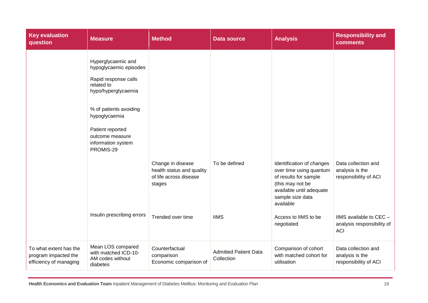| <b>Key evaluation</b><br>question                                        | <b>Measure</b>                                                                                                                                                                                                                 | <b>Method</b>                                                                                           | <b>Data source</b>                         | <b>Analysis</b>                                                                                                                                                                                      | <b>Responsibility and</b><br><b>comments</b>                                                                                           |
|--------------------------------------------------------------------------|--------------------------------------------------------------------------------------------------------------------------------------------------------------------------------------------------------------------------------|---------------------------------------------------------------------------------------------------------|--------------------------------------------|------------------------------------------------------------------------------------------------------------------------------------------------------------------------------------------------------|----------------------------------------------------------------------------------------------------------------------------------------|
|                                                                          | Hyperglycaemic and<br>hypoglycaemic episodes<br>Rapid response calls<br>related to<br>hypo/hyperglycaemia<br>% of patients avoiding<br>hypoglycaemia<br>Patient reported<br>outcome measure<br>information system<br>PROMIS-29 |                                                                                                         |                                            |                                                                                                                                                                                                      |                                                                                                                                        |
|                                                                          | Insulin prescribing errors                                                                                                                                                                                                     | Change in disease<br>health status and quality<br>of life across disease<br>stages<br>Trended over time | To be defined<br><b>IIMS</b>               | Identification of changes<br>over time using quantum<br>of results for sample<br>(this may not be<br>available until adequate<br>sample size data<br>available<br>Access to IIMS to be<br>negotiated | Data collection and<br>analysis is the<br>responsibility of ACI<br>IIMS available to CEC -<br>analysis responsibility of<br><b>ACI</b> |
| To what extent has the<br>program impacted the<br>efficiency of managing | Mean LOS compared<br>with matched ICD-10-<br>AM codes without<br>diabetes                                                                                                                                                      | Counterfactual<br>comparison<br>Economic comparison of                                                  | <b>Admitted Patient Data</b><br>Collection | Comparison of cohort<br>with matched cohort for<br>utilisation                                                                                                                                       | Data collection and<br>analysis is the<br>responsibility of ACI                                                                        |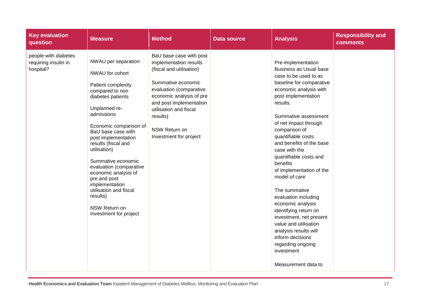| <b>Key evaluation</b><br>question                         | <b>Measure</b>                                                                                                                                                                                                                                                                                                                                                                                                                                | <b>Method</b>                                                                                                                                                                                                                                                          | <b>Data source</b> | <b>Analysis</b>                                                                                                                                                                                                                                                                                                                                                                                                                                                                                                                                                                                                                          | <b>Responsibility and</b><br><b>comments</b> |
|-----------------------------------------------------------|-----------------------------------------------------------------------------------------------------------------------------------------------------------------------------------------------------------------------------------------------------------------------------------------------------------------------------------------------------------------------------------------------------------------------------------------------|------------------------------------------------------------------------------------------------------------------------------------------------------------------------------------------------------------------------------------------------------------------------|--------------------|------------------------------------------------------------------------------------------------------------------------------------------------------------------------------------------------------------------------------------------------------------------------------------------------------------------------------------------------------------------------------------------------------------------------------------------------------------------------------------------------------------------------------------------------------------------------------------------------------------------------------------------|----------------------------------------------|
| people with diabetes<br>requiring insulin in<br>hospital? | NWAU per separation<br>NWAU for cohort<br>Patient complexity<br>compared to non<br>diabetes patients<br>Unplanned re-<br>admissions<br>Economic comparison of<br>BaU base case with<br>post implementation<br>results (fiscal and<br>utilisation)<br>Summative economic<br>evaluation (comparative<br>economic analysis of<br>pre and post<br>implementation<br>utilisation and fiscal<br>results)<br>NSW Return on<br>Investment for project | BaU base case with post<br>implementation results<br>(fiscal and utilisation)<br>Summative economic<br>evaluation (comparative<br>economic analysis of pre<br>and post implementation<br>utilisation and fiscal<br>results)<br>NSW Return on<br>Investment for project |                    | Pre-implementation<br>Business as Usual base<br>case to be used to as<br>baseline for comparative<br>economic analysis with<br>post implementation<br>results.<br>Summative assessment<br>of net impact through<br>comparison of<br>quantifiable costs<br>and benefits of the base<br>case with the<br>quantifiable costs and<br>benefits<br>of implementation of the<br>model of care<br>The summative<br>evaluation including<br>economic analysis<br>identifying return on<br>investment, net present<br>value and utilisation<br>analysis results will<br>inform decisions<br>regarding ongoing<br>investment<br>Measurement data to |                                              |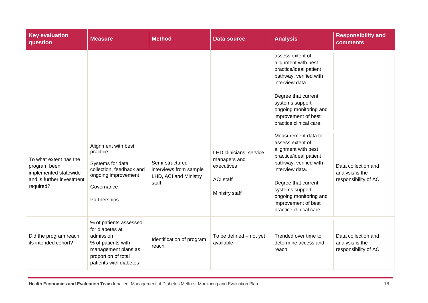| <b>Key evaluation</b><br>question                                                                         | <b>Measure</b>                                                                                                                                       | <b>Method</b>                                                               | <b>Data source</b>                                                                          | <b>Analysis</b>                                                                                                                                                                                                                                             | <b>Responsibility and</b><br>comments                           |
|-----------------------------------------------------------------------------------------------------------|------------------------------------------------------------------------------------------------------------------------------------------------------|-----------------------------------------------------------------------------|---------------------------------------------------------------------------------------------|-------------------------------------------------------------------------------------------------------------------------------------------------------------------------------------------------------------------------------------------------------------|-----------------------------------------------------------------|
|                                                                                                           |                                                                                                                                                      |                                                                             |                                                                                             | assess extent of<br>alignment with best<br>practice/ideal patient<br>pathway, verified with<br>interview data.<br>Degree that current<br>systems support<br>ongoing monitoring and<br>improvement of best<br>practice clinical care.                        |                                                                 |
| To what extent has the<br>program been<br>implemented statewide<br>and is further investment<br>required? | Alignment with best<br>practice<br>Systems for data<br>collection, feedback and<br>ongoing improvement<br>Governance<br>Partnerships                 | Semi-structured<br>interviews from sample<br>LHD, ACI and Ministry<br>staff | LHD clinicians, service<br>managers and<br>executives<br><b>ACI staff</b><br>Ministry staff | Measurement data to<br>assess extent of<br>alignment with best<br>practice/ideal patient<br>pathway, verified with<br>interview data.<br>Degree that current<br>systems support<br>ongoing monitoring and<br>improvement of best<br>practice clinical care. | Data collection and<br>analysis is the<br>responsibility of ACI |
| Did the program reach<br>its intended cohort?                                                             | % of patients assessed<br>for diabetes at<br>admission<br>% of patients with<br>management plans as<br>proportion of total<br>patients with diabetes | Identification of program<br>reach                                          | To be defined - not yet<br>available                                                        | Trended over time to<br>determine access and<br>reach                                                                                                                                                                                                       | Data collection and<br>analysis is the<br>responsibility of ACI |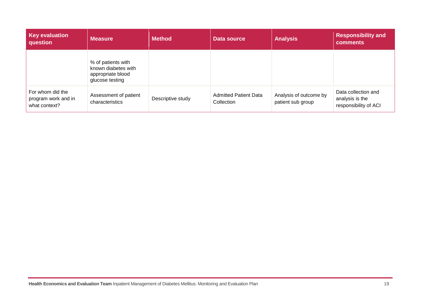| <b>Key evaluation</b><br>question                        | <b>Measure</b>                                                                    | <b>Method</b>     | Data source                                | <b>Analysis</b>                             | <b>Responsibility and</b><br><b>comments</b>                    |
|----------------------------------------------------------|-----------------------------------------------------------------------------------|-------------------|--------------------------------------------|---------------------------------------------|-----------------------------------------------------------------|
|                                                          | % of patients with<br>known diabetes with<br>appropriate blood<br>glucose testing |                   |                                            |                                             |                                                                 |
| For whom did the<br>program work and in<br>what context? | Assessment of patient<br>characteristics                                          | Descriptive study | <b>Admitted Patient Data</b><br>Collection | Analysis of outcome by<br>patient sub group | Data collection and<br>analysis is the<br>responsibility of ACI |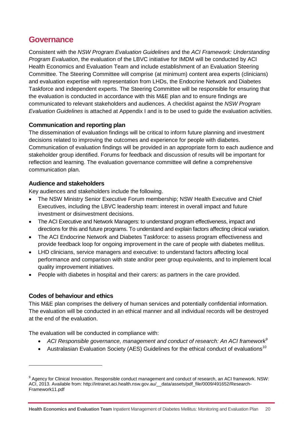### <span id="page-30-0"></span>**Governance**

Consistent with the *NSW Program Evaluation Guidelines* and the *ACI Framework: Understanding Program Evaluation*, the evaluation of the LBVC initiative for IMDM will be conducted by ACI Health Economics and Evaluation Team and include establishment of an Evaluation Steering Committee. The Steering Committee will comprise (at minimum) content area experts (clinicians) and evaluation expertise with representation from LHDs, the Endocrine Network and Diabetes Taskforce and independent experts. The Steering Committee will be responsible for ensuring that the evaluation is conducted in accordance with this M&E plan and to ensure findings are communicated to relevant stakeholders and audiences. A checklist against the *NSW Program Evaluation Guidelines* is attached at Appendix I and is to be used to guide the evaluation activities.

#### <span id="page-30-1"></span>**Communication and reporting plan**

The dissemination of evaluation findings will be critical to inform future planning and investment decisions related to improving the outcomes and experience for people with diabetes. Communication of evaluation findings will be provided in an appropriate form to each audience and stakeholder group identified. Forums for feedback and discussion of results will be important for reflection and learning. The evaluation governance committee will define a comprehensive communication plan.

#### <span id="page-30-2"></span>**Audience and stakeholders**

Key audiences and stakeholders include the following.

- The NSW Ministry Senior Executive Forum membership; NSW Health Executive and Chief Executives, including the LBVC leadership team: interest in overall impact and future investment or disinvestment decisions.
- The ACI Executive and Network Managers: to understand program effectiveness, impact and directions for this and future programs. To understand and explain factors affecting clinical variation.
- The ACI Endocrine Network and Diabetes Taskforce: to assess program effectiveness and provide feedback loop for ongoing improvement in the care of people with diabetes mellitus.
- LHD clinicians, service managers and executive: to understand factors affecting local performance and comparison with state and/or peer group equivalents, and to implement local quality improvement initiatives.
- People with diabetes in hospital and their carers: as partners in the care provided.

#### <span id="page-30-3"></span>**Codes of behaviour and ethics**

-

This M&E plan comprises the delivery of human services and potentially confidential information. The evaluation will be conducted in an ethical manner and all individual records will be destroyed at the end of the evaluation.

The evaluation will be conducted in compliance with:

- *ACI Responsible governance, management and conduct of research: An ACI framework<sup>9</sup>*
- Australasian Evaluation Society (AES) Guidelines for the ethical conduct of evaluations<sup>10</sup>

<sup>&</sup>lt;sup>9</sup> Agency for Clinical Innovation. Responsible conduct management and conduct of research, an ACI framework. NSW: ACI, 2013. Available from: http://intranet.aci.health.nsw.gov.au/\_\_data/assets/pdf\_file/0009/491652/Research-Framework11.pdf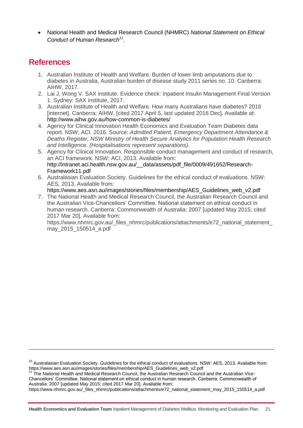National Health and Medical Research Council (NHMRC) *National Statement on Ethical Conduct of Human Research<sup>11</sup> .*

### <span id="page-31-0"></span>**References**

-

- 1. Australian Institute of Health and Welfare. Burden of lower limb amputations due to diabetes in Australia, Australian burden of disease study 2011 series no. 10. Canberra: AIHW, 2017.
- 2. Lai J, Wong V. SAX institute. Evidence check: Inpatient Insulin Management Final Version 1. Sydney: SAX institute, 2017.
- 3. Australian Institute of Health and Welfare. How many Australians have diabetes? 2016 [internet]. Canberra: AIHW, [cited 2017 April 5, last updated 2016 Dec]. Available at: <http://www.aihw.gov.au/how-common-is-diabetes/>
- 4. Agency for Clinical Innovation Health Economics and Evaluation Team Diabetes data report. NSW; ACI. 2016. Source: *Admitted Patient, Emergency Department Attendance & Deaths Register, NSW Ministry of Health Secure Analytics for Population Health Research and Intelligence. (Hospitalisations represent separations).*
- 5. Agency for Clinical Innovation. Responsible conduct management and conduct of research, an ACI framework. NSW: ACI, 2013. Available from: [http://intranet.aci.health.nsw.gov.au/\\_\\_data/assets/pdf\\_file/0009/491652/Research-](http://intranet.aci.health.nsw.gov.au/__data/assets/pdf_file/0009/491652/Research-Framework11.pdf)[Framework11.pdf](http://intranet.aci.health.nsw.gov.au/__data/assets/pdf_file/0009/491652/Research-Framework11.pdf)
- 6. Australasian Evaluation Society. Guidelines for the ethical conduct of evaluations. NSW: AES, 2013. Available from:
- [https://www.aes.asn.au/images/stories/files/membership/AES\\_Guidelines\\_web\\_v2.pdf](https://www.aes.asn.au/images/stories/files/membership/AES_Guidelines_web_v2.pdf) 7. The National Health and Medical Research Council, the Australian Research Council and the Australian Vice-Chancellors' Committee. National statement on ethical conduct in human research. Canberra: Commonwealth of Australia: 2007 [updated May 2015; cited 2017 Mar 20]. Available from:

https://www.nhmrc.gov.au/\_files\_nhmrc/publications/attachments/e72\_national\_statement\_ may\_2015\_150514\_a.pdf

<sup>11</sup> The National Health and Medical Research Council, the Australian Research Council and the Australian Vice-Chancellors' Committee. National statement on ethical conduct in human research. Canberra: Commonwealth of Australia: 2007 [updated May 2015; cited 2017 Mar 20]. Available from:

https://www.nhmrc.gov.au/\_files\_nhmrc/publications/attachments/e72\_national\_statement\_may\_2015\_150514\_a.pdf

<sup>&</sup>lt;sup>10</sup> Australasian Evaluation Society. Guidelines for the ethical conduct of evaluations. NSW: AES, 2013. Available from: https://www.aes.asn.au/images/stories/files/membership/AES\_Guidelines\_web\_v2.pdf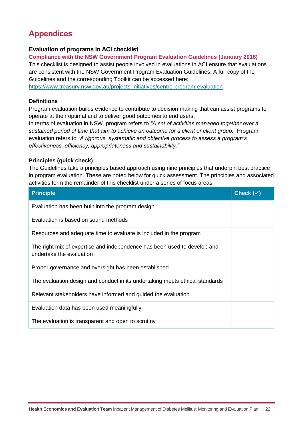# <span id="page-32-0"></span>**Appendices**

#### <span id="page-32-1"></span>**Evaluation of programs in ACI checklist**

**Compliance with the NSW Government Program Evaluation Guidelines (January 2016)**

This checklist is designed to assist people involved in evaluations in ACI ensure that evaluations are consistent with the NSW Government Program Evaluation Guidelines. A full copy of the Guidelines and the corresponding Toolkit can be accessed here:

<https://www.treasury.nsw.gov.au/projects-initiatives/centre-program-evaluation>

#### **Definitions**

Program evaluation builds evidence to contribute to decision making that can assist programs to operate at their optimal and to deliver good outcomes to end users.

In terms of evaluation in NSW, program refers to *"A set of activities managed together over a sustained period of time that aim to achieve an outcome for a client or client group.*" Program evaluation refers to *"A rigorous, systematic and objective process to assess a program's effectiveness, efficiency, appropriateness and sustainability."*

#### **Principles (quick check)**

The Guidelines take a principles based approach using nine principles that underpin best practice in program evaluation. These are noted below for quick assessment. The principles and associated activities form the remainder of this checklist under a series of focus areas.

| <b>Principle</b>                                                                                     | Check $(\checkmark)$ |
|------------------------------------------------------------------------------------------------------|----------------------|
| Evaluation has been built into the program design                                                    |                      |
| Evaluation is based on sound methods                                                                 |                      |
| Resources and adequate time to evaluate is included in the program                                   |                      |
| The right mix of expertise and independence has been used to develop and<br>undertake the evaluation |                      |
| Proper governance and oversight has been established                                                 |                      |
| The evaluation design and conduct in its undertaking meets ethical standards                         |                      |
| Relevant stakeholders have informed and guided the evaluation                                        |                      |
| Evaluation data has been used meaningfully                                                           |                      |
| The evaluation is transparent and open to scrutiny                                                   |                      |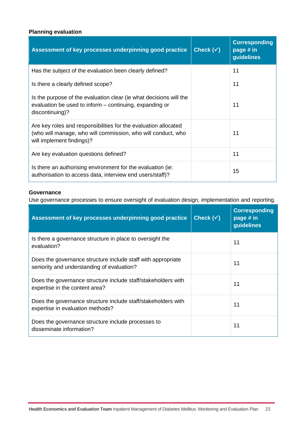#### **Planning evaluation**

| Assessment of key processes underpinning good practice                                                                                                       | Check $(\checkmark)$ | <b>Corresponding</b><br>page # in<br>guidelines |
|--------------------------------------------------------------------------------------------------------------------------------------------------------------|----------------------|-------------------------------------------------|
| Has the subject of the evaluation been clearly defined?                                                                                                      |                      | 11                                              |
| Is there a clearly defined scope?                                                                                                                            |                      | 11                                              |
| Is the purpose of the evaluation clear (ie what decisions will the<br>evaluation be used to inform – continuing, expanding or<br>discontinuing)?             |                      | 11                                              |
| Are key roles and responsibilities for the evaluation allocated<br>(who will manage, who will commission, who will conduct, who<br>will implement findings)? |                      | 11                                              |
| Are key evaluation questions defined?                                                                                                                        |                      | 11                                              |
| Is there an authorising environment for the evaluation (ie:<br>authorisation to access data, interview end users/staff)?                                     |                      | 15                                              |

#### **Governance**

Use governance processes to ensure oversight of evaluation design, implementation and reporting.

| Assessment of key processes underpinning good practice                                                     | Check $(\checkmark)$ | <b>Corresponding</b><br>page # in<br>guidelines |
|------------------------------------------------------------------------------------------------------------|----------------------|-------------------------------------------------|
| Is there a governance structure in place to oversight the<br>evaluation?                                   |                      | 11                                              |
| Does the governance structure include staff with appropriate<br>seniority and understanding of evaluation? |                      | 11                                              |
| Does the governance structure include staff/stakeholders with<br>expertise in the content area?            |                      | 11                                              |
| Does the governance structure include staff/stakeholders with<br>expertise in evaluation methods?          |                      | 11                                              |
| Does the governance structure include processes to<br>disseminate information?                             |                      | 11                                              |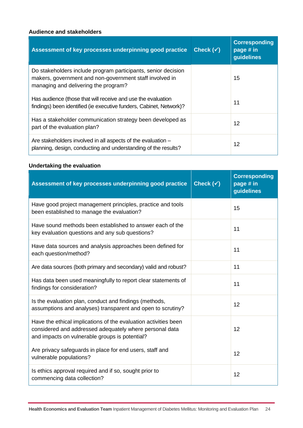#### **Audience and stakeholders**

| Assessment of key processes underpinning good practice                                                                                                           | Check $(\checkmark)$ | <b>Corresponding</b><br>page # in<br>guidelines |
|------------------------------------------------------------------------------------------------------------------------------------------------------------------|----------------------|-------------------------------------------------|
| Do stakeholders include program participants, senior decision<br>makers, government and non-government staff involved in<br>managing and delivering the program? |                      | 15                                              |
| Has audience (those that will receive and use the evaluation<br>findings) been identified (ie executive funders, Cabinet, Network)?                              |                      | 11                                              |
| Has a stakeholder communication strategy been developed as<br>part of the evaluation plan?                                                                       |                      | 12                                              |
| Are stakeholders involved in all aspects of the evaluation -<br>planning, design, conducting and understanding of the results?                                   |                      | 12                                              |

#### **Undertaking the evaluation**

| Assessment of key processes underpinning good practice                                                                                                                       | Check $(\checkmark)$ | <b>Corresponding</b><br>page # in<br>guidelines |
|------------------------------------------------------------------------------------------------------------------------------------------------------------------------------|----------------------|-------------------------------------------------|
| Have good project management principles, practice and tools<br>been established to manage the evaluation?                                                                    |                      | 15                                              |
| Have sound methods been established to answer each of the<br>key evaluation questions and any sub questions?                                                                 |                      | 11                                              |
| Have data sources and analysis approaches been defined for<br>each question/method?                                                                                          |                      | 11                                              |
| Are data sources (both primary and secondary) valid and robust?                                                                                                              |                      | 11                                              |
| Has data been used meaningfully to report clear statements of<br>findings for consideration?                                                                                 |                      | 11                                              |
| Is the evaluation plan, conduct and findings (methods,<br>assumptions and analyses) transparent and open to scrutiny?                                                        |                      | 12                                              |
| Have the ethical implications of the evaluation activities been<br>considered and addressed adequately where personal data<br>and impacts on vulnerable groups is potential? |                      | 12                                              |
| Are privacy safeguards in place for end users, staff and<br>vulnerable populations?                                                                                          |                      | 12                                              |
| Is ethics approval required and if so, sought prior to<br>commencing data collection?                                                                                        |                      | 12                                              |